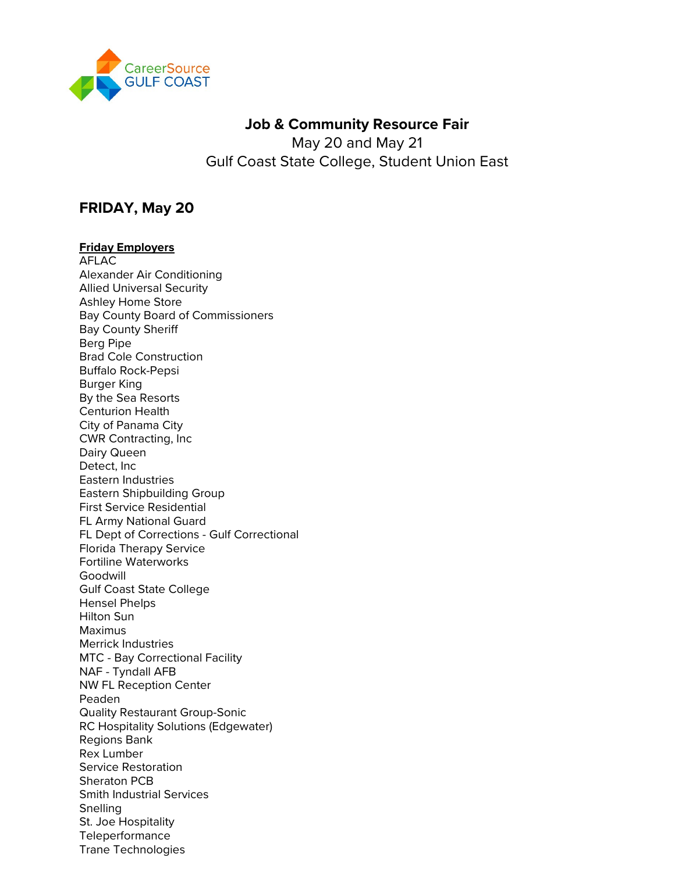

# **Job & Community Resource Fair**

May 20 and May 21 Gulf Coast State College, Student Union East

# **FRIDAY, May 20**

### **Friday Employers**

AFLAC Alexander Air Conditioning Allied Universal Security Ashley Home Store Bay County Board of Commissioners Bay County Sheriff Berg Pipe Brad Cole Construction Buffalo Rock-Pepsi Burger King By the Sea Resorts Centurion Health City of Panama City CWR Contracting, Inc Dairy Queen Detect, Inc Eastern Industries Eastern Shipbuilding Group First Service Residential FL Army National Guard FL Dept of Corrections - Gulf Correctional Florida Therapy Service Fortiline Waterworks Goodwill Gulf Coast State College Hensel Phelps Hilton Sun Maximus Merrick Industries MTC - Bay Correctional Facility NAF - Tyndall AFB NW FL Reception Center Peaden Quality Restaurant Group-Sonic RC Hospitality Solutions (Edgewater) Regions Bank Rex Lumber Service Restoration Sheraton PCB Smith Industrial Services Snelling St. Joe Hospitality Teleperformance Trane Technologies